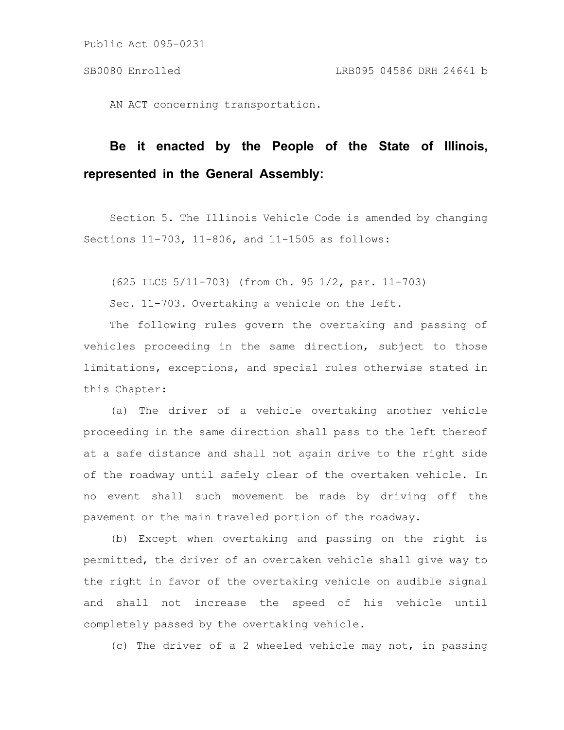Public Act 095-0231

AN ACT concerning transportation.

## **Be it enacted by the People of the State of Illinois, represented in the General Assembly:**

Section 5. The Illinois Vehicle Code is amended by changing Sections 11-703, 11-806, and 11-1505 as follows:

(625 ILCS 5/11-703) (from Ch. 95 1/2, par. 11-703)

Sec. 11-703. Overtaking a vehicle on the left.

The following rules govern the overtaking and passing of vehicles proceeding in the same direction, subject to those limitations, exceptions, and special rules otherwise stated in this Chapter:

(a) The driver of a vehicle overtaking another vehicle proceeding in the same direction shall pass to the left thereof at a safe distance and shall not again drive to the right side of the roadway until safely clear of the overtaken vehicle. In no event shall such movement be made by driving off the pavement or the main traveled portion of the roadway.

(b) Except when overtaking and passing on the right is permitted, the driver of an overtaken vehicle shall give way to the right in favor of the overtaking vehicle on audible signal and shall not increase the speed of his vehicle until completely passed by the overtaking vehicle.

(c) The driver of a 2 wheeled vehicle may not, in passing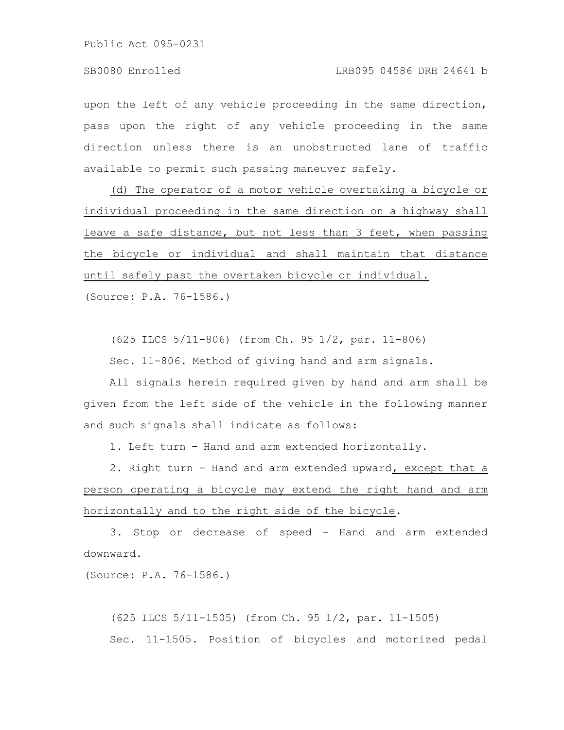Public Act 095-0231

upon the left of any vehicle proceeding in the same direction, pass upon the right of any vehicle proceeding in the same direction unless there is an unobstructed lane of traffic available to permit such passing maneuver safely.

(d) The operator of a motor vehicle overtaking a bicycle or individual proceeding in the same direction on a highway shall leave a safe distance, but not less than 3 feet, when passing the bicycle or individual and shall maintain that distance until safely past the overtaken bicycle or individual. (Source: P.A. 76-1586.)

(625 ILCS 5/11-806) (from Ch. 95 1/2, par. 11-806)

Sec. 11-806. Method of giving hand and arm signals.

All signals herein required given by hand and arm shall be given from the left side of the vehicle in the following manner and such signals shall indicate as follows:

1. Left turn - Hand and arm extended horizontally.

2. Right turn - Hand and arm extended upward, except that a person operating a bicycle may extend the right hand and arm horizontally and to the right side of the bicycle.

3. Stop or decrease of speed - Hand and arm extended downward.

(Source: P.A. 76-1586.)

(625 ILCS 5/11-1505) (from Ch. 95 1/2, par. 11-1505) Sec. 11-1505. Position of bicycles and motorized pedal